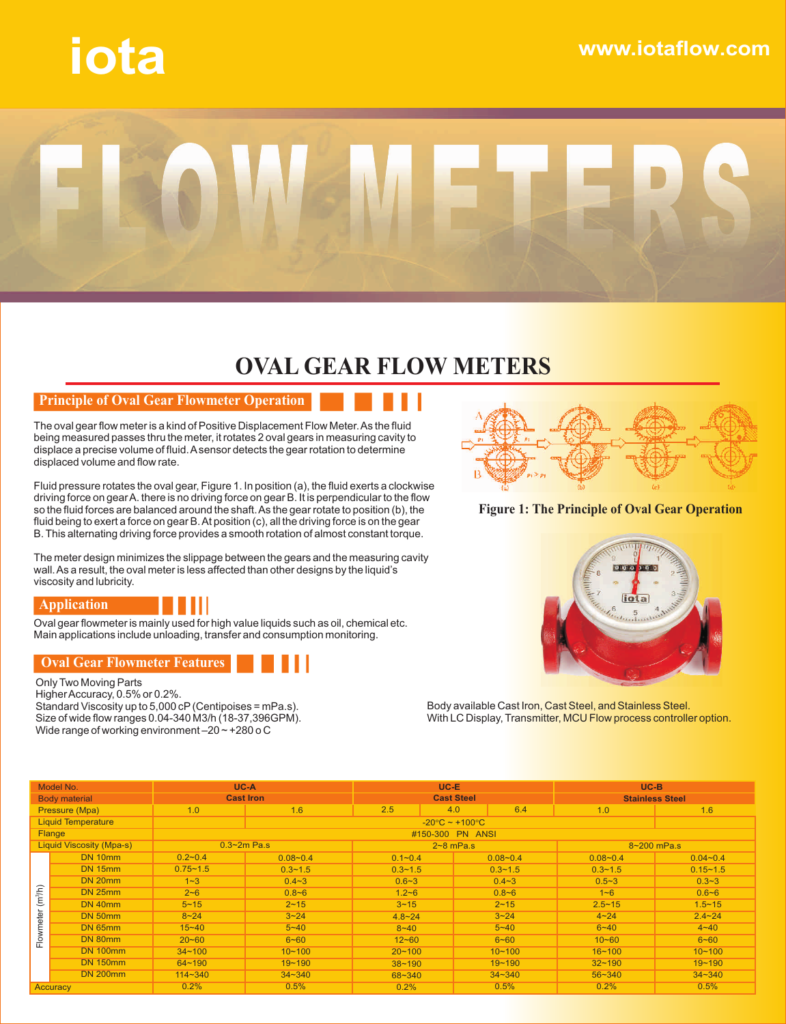# **iota www.iotaflow.com**



## **OVAL GEAR FLOW METERS**

#### **Principle of Oval Gear Flowmeter Operation**

The oval gear flow meter is a kind of Positive Displacement Flow Meter. As the fluid being measured passes thru the meter, it rotates 2 oval gears in measuring cavity to displace a precise volume of fluid. A sensor detects the gear rotation to determine displaced volume and flow rate.

Fluid pressure rotates the oval gear, Figure 1. In position (a), the fluid exerts a clockwise driving force on gear A. there is no driving force on gear B. It is perpendicular to the flow so the fluid forces are balanced around the shaft. As the gear rotate to position (b), the fluid being to exert a force on gear B. At position (c), all the driving force is on the gear B. This alternating driving force provides a smooth rotation of almost constant torque.

The meter design minimizes the slippage between the gears and the measuring cavity wall. As a result, the oval meter is less affected than other designs by the liquid's viscosity and lubricity.



Oval gear flowmeter is mainly used for high value liquids such as oil, chemical etc. Main applications include unloading, transfer and consumption monitoring.

#### **Oval Gear Flowmeter Features**

Only Two Moving Parts Higher Accuracy, 0.5% or 0.2%. Standard Viscosity up to 5,000 cP (Centipoises = mPa.s). Size of wide flow ranges 0.04-340 M3/h (18-37,396GPM). Wide range of working environment –20 ~ +280 o C



#### **Figure 1: The Principle of Oval Gear Operation**



Body available Cast Iron, Cast Steel, and Stainless Steel. With LC Display, Transmitter, MCU Flow process controller option.

| Model No.                        |                 | UC-A             |                  | $UC-E$                 |     |              | $UC-B$                 |              |  |  |  |
|----------------------------------|-----------------|------------------|------------------|------------------------|-----|--------------|------------------------|--------------|--|--|--|
| <b>Body material</b>             |                 | <b>Cast Iron</b> |                  | <b>Cast Steel</b>      |     |              | <b>Stainless Steel</b> |              |  |  |  |
| Pressure (Mpa)                   |                 | 1.0              | 1.6              | 2.5                    | 4.0 | 6.4          | 1.0                    | 1.6          |  |  |  |
| <b>Liquid Temperature</b>        |                 |                  |                  | $-20$ C $\sim$ +100 C  |     |              |                        |              |  |  |  |
| Flange                           |                 |                  | #150-300 PN ANSI |                        |     |              |                        |              |  |  |  |
| <b>Liquid Viscosity (Mpa-s)</b>  |                 |                  | $0.3 - 2m$ Pa.s  | $2 - 8$ mPa.s          |     |              | 8~200 mPa.s            |              |  |  |  |
| (m <sup>3</sup> /h)<br>Flowmeter | DN 10mm         | $0.2 - 0.4$      | $0.08 - 0.4$     | $0.1 - 0.4$            |     | $0.08 - 0.4$ | $0.08 - 0.4$           | $0.04 - 0.4$ |  |  |  |
|                                  | <b>DN 15mm</b>  | $0.75 - 1.5$     | $0.3 - 1.5$      | $0.3 - 1.5$            |     | $0.3 - 1.5$  | $0.3 - 1.5$            | $0.15 - 1.5$ |  |  |  |
|                                  | <b>DN 20mm</b>  | $1 - 3$          | $0.4 - 3$        | $0.4 - 3$<br>$0.6 - 3$ |     | $0.5 - 3$    | $0.3 - 3$              |              |  |  |  |
|                                  | <b>DN 25mm</b>  | $2 - 6$          | $0.8 - 6$        | $1.2 - 6$<br>$0.8 - 6$ |     |              | $1 - 6$                | $0.6 - 6$    |  |  |  |
|                                  | <b>DN 40mm</b>  | $5 - 15$         | $2 - 15$         | $3 - 15$               |     | $2 - 15$     | $2.5 - 15$             | $1.5 - 15$   |  |  |  |
|                                  | <b>DN 50mm</b>  | $8 - 24$         | $3 - 24$         | $4.8 - 24$             |     | $3 - 24$     | $4 - 24$               | $2.4 - 24$   |  |  |  |
|                                  | <b>DN 65mm</b>  | $15 - 40$        | $5 - 40$         | $8 - 40$               |     | $5 - 40$     | $6 - 40$               | $4 - 40$     |  |  |  |
|                                  | DN 80mm         | $20 - 60$        | $6 - 60$         | $12 - 60$              |     | $6 - 60$     | $10 - 60$              | $6 - 60$     |  |  |  |
|                                  | <b>DN 100mm</b> | $34 - 100$       | $10 - 100$       | $20 - 100$             |     | $10 - 100$   | $16 - 100$             | $10 - 100$   |  |  |  |
|                                  | <b>DN 150mm</b> | $64 - 190$       | $19 - 190$       | $38 - 190$             |     | $19 - 190$   | $32 - 190$             | $19 - 190$   |  |  |  |
|                                  | <b>DN 200mm</b> | $114 - 340$      | $34 - 340$       | 68~340                 |     | $34 - 340$   | $56 - 340$             | $34 - 340$   |  |  |  |
| <b>Accuracy</b>                  |                 | 0.2%             | 0.5%             | 0.2%                   |     | 0.5%         | 0.2%                   | 0.5%         |  |  |  |